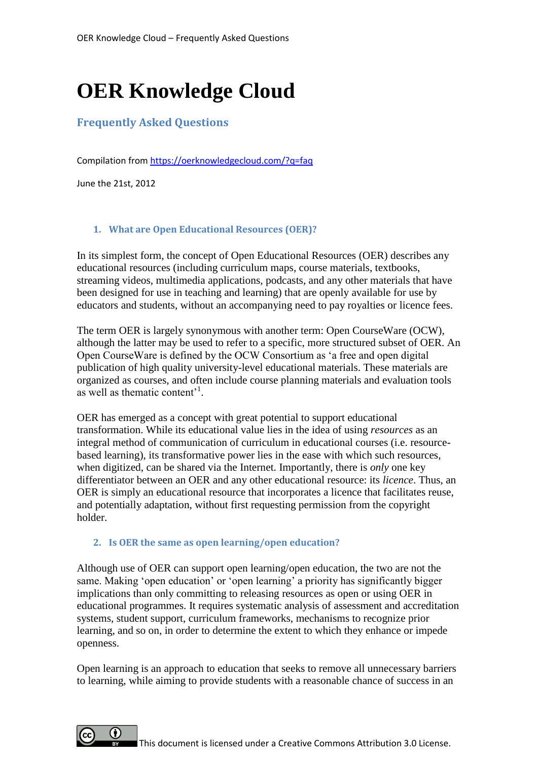# **OER Knowledge Cloud**

# **Frequently Asked Questions**

Compilation from<https://oerknowledgecloud.com/?q=faq>

June the 21st, 2012

#### **1. What are Open Educational Resources (OER)?**

In its simplest form, the concept of Open Educational Resources (OER) describes any educational resources (including curriculum maps, course materials, textbooks, streaming videos, multimedia applications, podcasts, and any other materials that have been designed for use in teaching and learning) that are openly available for use by educators and students, without an accompanying need to pay royalties or licence fees.

The term OER is largely synonymous with another term: Open CourseWare (OCW), although the latter may be used to refer to a specific, more structured subset of OER. An Open CourseWare is defined by the OCW Consortium as 'a free and open digital publication of high quality university-level educational materials. These materials are organized as courses, and often include course planning materials and evaluation tools as well as thematic content'<sup>1</sup>.

OER has emerged as a concept with great potential to support educational transformation. While its educational value lies in the idea of using *resources* as an integral method of communication of curriculum in educational courses (i.e. resourcebased learning), its transformative power lies in the ease with which such resources, when digitized, can be shared via the Internet. Importantly, there is *only* one key differentiator between an OER and any other educational resource: its *licence*. Thus, an OER is simply an educational resource that incorporates a licence that facilitates reuse, and potentially adaptation, without first requesting permission from the copyright holder.

#### **2. Is OER the same as open learning/open education?**

Although use of OER can support open learning/open education, the two are not the same. Making 'open education' or 'open learning' a priority has significantly bigger implications than only committing to releasing resources as open or using OER in educational programmes. It requires systematic analysis of assessment and accreditation systems, student support, curriculum frameworks, mechanisms to recognize prior learning, and so on, in order to determine the extent to which they enhance or impede openness.

Open learning is an approach to education that seeks to remove all unnecessary barriers to learning, while aiming to provide students with a reasonable chance of success in an

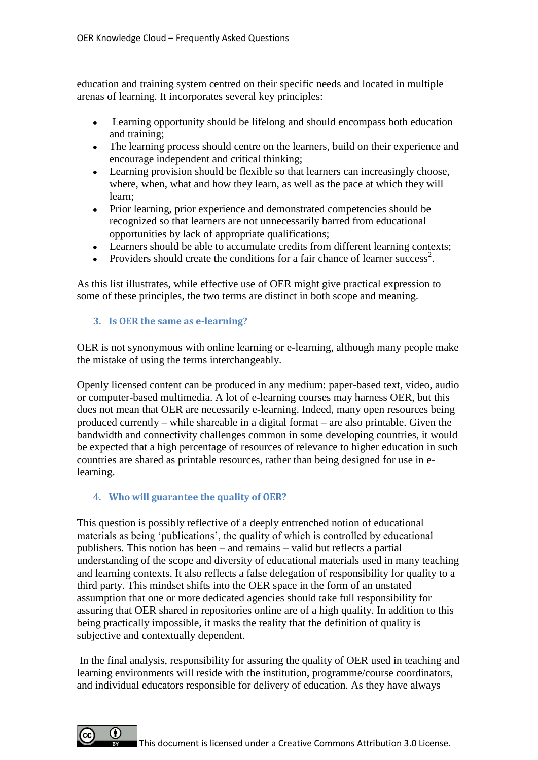education and training system centred on their specific needs and located in multiple arenas of learning. It incorporates several key principles:

- $\bullet$ Learning opportunity should be lifelong and should encompass both education and training;
- The learning process should centre on the learners, build on their experience and encourage independent and critical thinking;
- Learning provision should be flexible so that learners can increasingly choose, where, when, what and how they learn, as well as the pace at which they will learn;
- Prior learning, prior experience and demonstrated competencies should be recognized so that learners are not unnecessarily barred from educational opportunities by lack of appropriate qualifications;
- Learners should be able to accumulate credits from different learning contexts;
- Providers should create the conditions for a fair chance of learner success<sup>2</sup>.

As this list illustrates, while effective use of OER might give practical expression to some of these principles, the two terms are distinct in both scope and meaning.

## **3. Is OER the same as e-learning?**

OER is not synonymous with online learning or e-learning, although many people make the mistake of using the terms interchangeably.

Openly licensed content can be produced in any medium: paper-based text, video, audio or computer-based multimedia. A lot of e-learning courses may harness OER, but this does not mean that OER are necessarily e-learning. Indeed, many open resources being produced currently – while shareable in a digital format – are also printable. Given the bandwidth and connectivity challenges common in some developing countries, it would be expected that a high percentage of resources of relevance to higher education in such countries are shared as printable resources, rather than being designed for use in elearning.

**4. Who will guarantee the quality of OER?**

This question is possibly reflective of a deeply entrenched notion of educational materials as being 'publications', the quality of which is controlled by educational publishers. This notion has been – and remains – valid but reflects a partial understanding of the scope and diversity of educational materials used in many teaching and learning contexts. It also reflects a false delegation of responsibility for quality to a third party. This mindset shifts into the OER space in the form of an unstated assumption that one or more dedicated agencies should take full responsibility for assuring that OER shared in repositories online are of a high quality. In addition to this being practically impossible, it masks the reality that the definition of quality is subjective and contextually dependent.

In the final analysis, responsibility for assuring the quality of OER used in teaching and learning environments will reside with the institution, programme/course coordinators, and individual educators responsible for delivery of education. As they have always

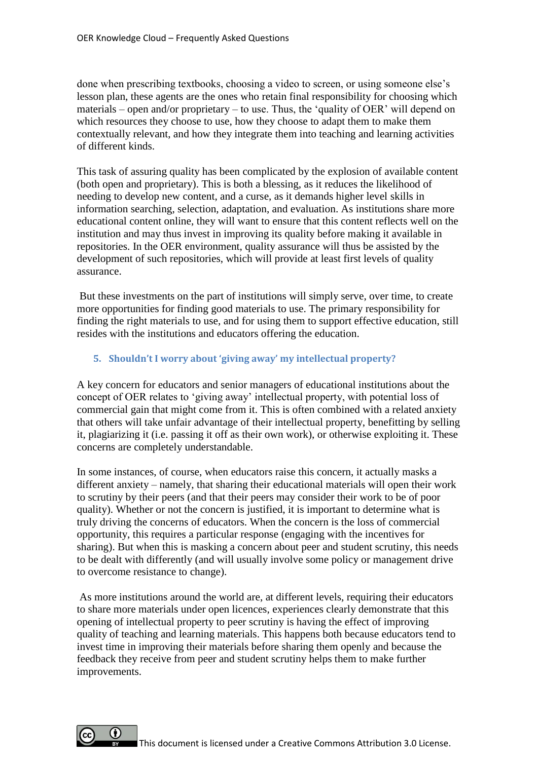done when prescribing textbooks, choosing a video to screen, or using someone else's lesson plan, these agents are the ones who retain final responsibility for choosing which materials – open and/or proprietary – to use. Thus, the 'quality of OER' will depend on which resources they choose to use, how they choose to adapt them to make them contextually relevant, and how they integrate them into teaching and learning activities of different kinds.

This task of assuring quality has been complicated by the explosion of available content (both open and proprietary). This is both a blessing, as it reduces the likelihood of needing to develop new content, and a curse, as it demands higher level skills in information searching, selection, adaptation, and evaluation. As institutions share more educational content online, they will want to ensure that this content reflects well on the institution and may thus invest in improving its quality before making it available in repositories. In the OER environment, quality assurance will thus be assisted by the development of such repositories, which will provide at least first levels of quality assurance.

But these investments on the part of institutions will simply serve, over time, to create more opportunities for finding good materials to use. The primary responsibility for finding the right materials to use, and for using them to support effective education, still resides with the institutions and educators offering the education.

# **5. Shouldn't I worry about 'giving away' my intellectual property?**

A key concern for educators and senior managers of educational institutions about the concept of OER relates to 'giving away' intellectual property, with potential loss of commercial gain that might come from it. This is often combined with a related anxiety that others will take unfair advantage of their intellectual property, benefitting by selling it, plagiarizing it (i.e. passing it off as their own work), or otherwise exploiting it. These concerns are completely understandable.

In some instances, of course, when educators raise this concern, it actually masks a different anxiety – namely, that sharing their educational materials will open their work to scrutiny by their peers (and that their peers may consider their work to be of poor quality). Whether or not the concern is justified, it is important to determine what is truly driving the concerns of educators. When the concern is the loss of commercial opportunity, this requires a particular response (engaging with the incentives for sharing). But when this is masking a concern about peer and student scrutiny, this needs to be dealt with differently (and will usually involve some policy or management drive to overcome resistance to change).

As more institutions around the world are, at different levels, requiring their educators to share more materials under open licences, experiences clearly demonstrate that this opening of intellectual property to peer scrutiny is having the effect of improving quality of teaching and learning materials. This happens both because educators tend to invest time in improving their materials before sharing them openly and because the feedback they receive from peer and student scrutiny helps them to make further improvements.

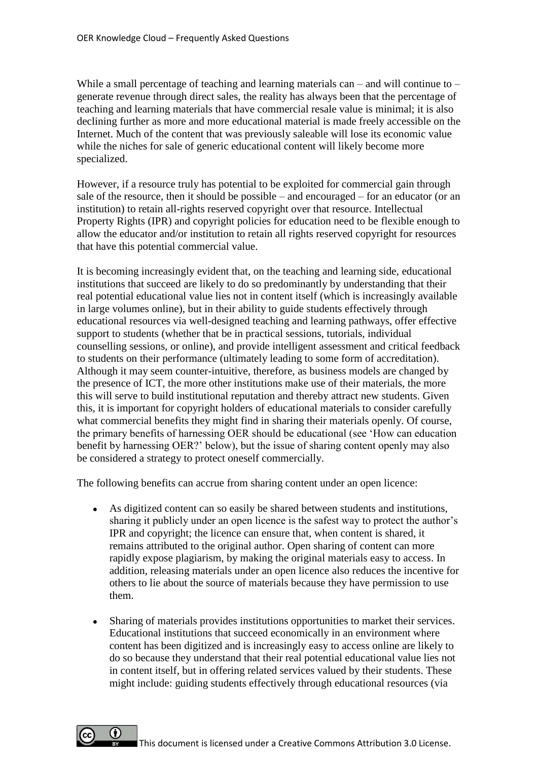While a small percentage of teaching and learning materials can – and will continue to – generate revenue through direct sales, the reality has always been that the percentage of teaching and learning materials that have commercial resale value is minimal; it is also declining further as more and more educational material is made freely accessible on the Internet. Much of the content that was previously saleable will lose its economic value while the niches for sale of generic educational content will likely become more specialized.

However, if a resource truly has potential to be exploited for commercial gain through sale of the resource, then it should be possible – and encouraged – for an educator (or an institution) to retain all-rights reserved copyright over that resource. Intellectual Property Rights (IPR) and copyright policies for education need to be flexible enough to allow the educator and/or institution to retain all rights reserved copyright for resources that have this potential commercial value.

It is becoming increasingly evident that, on the teaching and learning side, educational institutions that succeed are likely to do so predominantly by understanding that their real potential educational value lies not in content itself (which is increasingly available in large volumes online), but in their ability to guide students effectively through educational resources via well-designed teaching and learning pathways, offer effective support to students (whether that be in practical sessions, tutorials, individual counselling sessions, or online), and provide intelligent assessment and critical feedback to students on their performance (ultimately leading to some form of accreditation). Although it may seem counter-intuitive, therefore, as business models are changed by the presence of ICT, the more other institutions make use of their materials, the more this will serve to build institutional reputation and thereby attract new students. Given this, it is important for copyright holders of educational materials to consider carefully what commercial benefits they might find in sharing their materials openly. Of course, the primary benefits of harnessing OER should be educational (see 'How can education benefit by harnessing OER?' below), but the issue of sharing content openly may also be considered a strategy to protect oneself commercially.

The following benefits can accrue from sharing content under an open licence:

- As digitized content can so easily be shared between students and institutions, sharing it publicly under an open licence is the safest way to protect the author's IPR and copyright; the licence can ensure that, when content is shared, it remains attributed to the original author. Open sharing of content can more rapidly expose plagiarism, by making the original materials easy to access. In addition, releasing materials under an open licence also reduces the incentive for others to lie about the source of materials because they have permission to use them.
- Sharing of materials provides institutions opportunities to market their services.  $\bullet$ Educational institutions that succeed economically in an environment where content has been digitized and is increasingly easy to access online are likely to do so because they understand that their real potential educational value lies not in content itself, but in offering related services valued by their students. These might include: guiding students effectively through educational resources (via

 $\bf{0}$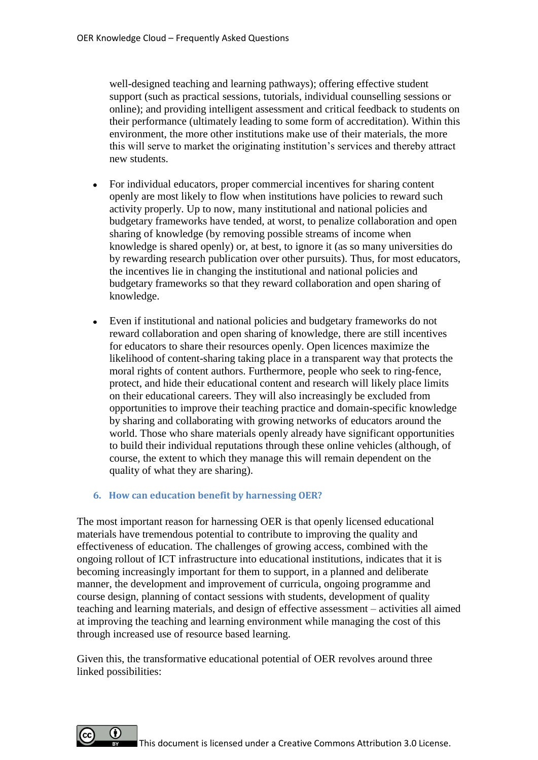well-designed teaching and learning pathways); offering effective student support (such as practical sessions, tutorials, individual counselling sessions or online); and providing intelligent assessment and critical feedback to students on their performance (ultimately leading to some form of accreditation). Within this environment, the more other institutions make use of their materials, the more this will serve to market the originating institution's services and thereby attract new students.

- For individual educators, proper commercial incentives for sharing content openly are most likely to flow when institutions have policies to reward such activity properly. Up to now, many institutional and national policies and budgetary frameworks have tended, at worst, to penalize collaboration and open sharing of knowledge (by removing possible streams of income when knowledge is shared openly) or, at best, to ignore it (as so many universities do by rewarding research publication over other pursuits). Thus, for most educators, the incentives lie in changing the institutional and national policies and budgetary frameworks so that they reward collaboration and open sharing of knowledge.
- Even if institutional and national policies and budgetary frameworks do not  $\bullet$ reward collaboration and open sharing of knowledge, there are still incentives for educators to share their resources openly. Open licences maximize the likelihood of content-sharing taking place in a transparent way that protects the moral rights of content authors. Furthermore, people who seek to ring-fence, protect, and hide their educational content and research will likely place limits on their educational careers. They will also increasingly be excluded from opportunities to improve their teaching practice and domain-specific knowledge by sharing and collaborating with growing networks of educators around the world. Those who share materials openly already have significant opportunities to build their individual reputations through these online vehicles (although, of course, the extent to which they manage this will remain dependent on the quality of what they are sharing).

#### **6. How can education benefit by harnessing OER?**

The most important reason for harnessing OER is that openly licensed educational materials have tremendous potential to contribute to improving the quality and effectiveness of education. The challenges of growing access, combined with the ongoing rollout of ICT infrastructure into educational institutions, indicates that it is becoming increasingly important for them to support, in a planned and deliberate manner, the development and improvement of curricula, ongoing programme and course design, planning of contact sessions with students, development of quality teaching and learning materials, and design of effective assessment – activities all aimed at improving the teaching and learning environment while managing the cost of this through increased use of resource based learning.

Given this, the transformative educational potential of OER revolves around three linked possibilities:

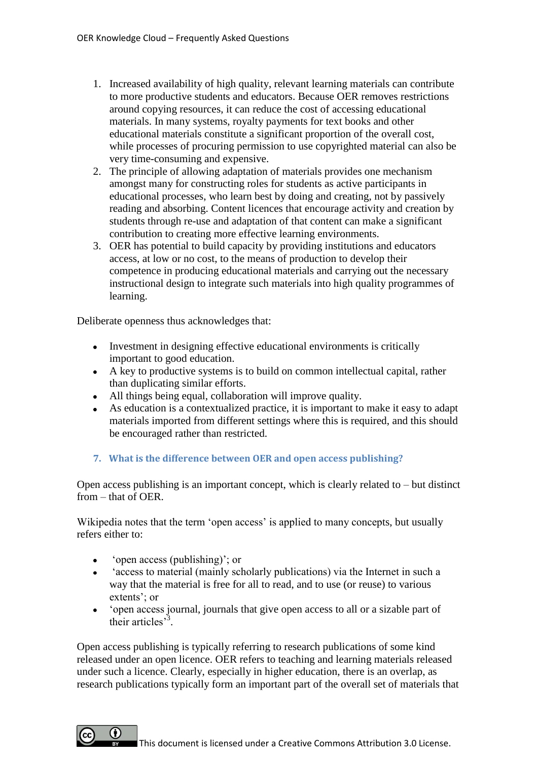- 1. Increased availability of high quality, relevant learning materials can contribute to more productive students and educators. Because OER removes restrictions around copying resources, it can reduce the cost of accessing educational materials. In many systems, royalty payments for text books and other educational materials constitute a significant proportion of the overall cost, while processes of procuring permission to use copyrighted material can also be very time-consuming and expensive.
- 2. The principle of allowing adaptation of materials provides one mechanism amongst many for constructing roles for students as active participants in educational processes, who learn best by doing and creating, not by passively reading and absorbing. Content licences that encourage activity and creation by students through re-use and adaptation of that content can make a significant contribution to creating more effective learning environments.
- 3. OER has potential to build capacity by providing institutions and educators access, at low or no cost, to the means of production to develop their competence in producing educational materials and carrying out the necessary instructional design to integrate such materials into high quality programmes of learning.

Deliberate openness thus acknowledges that:

- Investment in designing effective educational environments is critically important to good education.
- A key to productive systems is to build on common intellectual capital, rather than duplicating similar efforts.
- All things being equal, collaboration will improve quality.
- As education is a contextualized practice, it is important to make it easy to adapt materials imported from different settings where this is required, and this should be encouraged rather than restricted.

# **7. What is the difference between OER and open access publishing?**

Open access publishing is an important concept, which is clearly related to – but distinct from – that of OER.

Wikipedia notes that the term 'open access' is applied to many concepts, but usually refers either to:

- 'open access (publishing)'; or  $\bullet$
- 'access to material (mainly scholarly publications) via the Internet in such a way that the material is free for all to read, and to use (or reuse) to various extents'; or
- 'open access journal, journals that give open access to all or a sizable part of their articles<sup>3</sup>.

Open access publishing is typically referring to research publications of some kind released under an open licence. OER refers to teaching and learning materials released under such a licence. Clearly, especially in higher education, there is an overlap, as research publications typically form an important part of the overall set of materials that

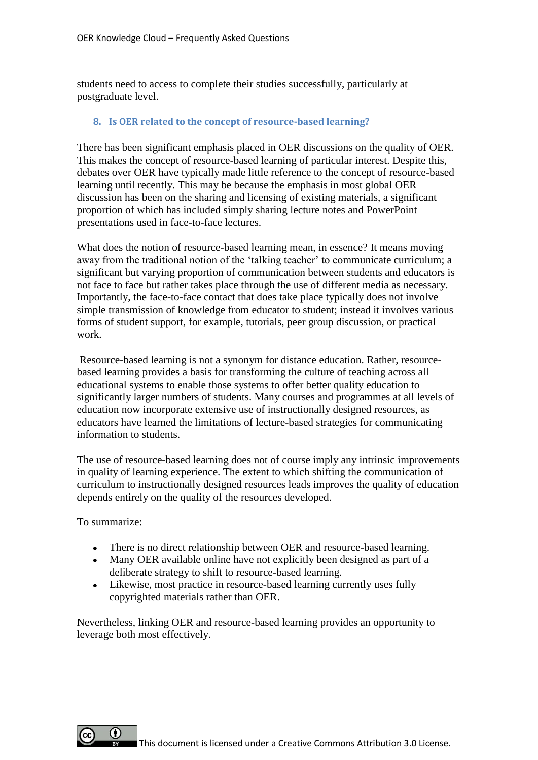students need to access to complete their studies successfully, particularly at postgraduate level.

## **8. Is OER related to the concept of resource-based learning?**

There has been significant emphasis placed in OER discussions on the quality of OER. This makes the concept of resource-based learning of particular interest. Despite this, debates over OER have typically made little reference to the concept of resource-based learning until recently. This may be because the emphasis in most global OER discussion has been on the sharing and licensing of existing materials, a significant proportion of which has included simply sharing lecture notes and PowerPoint presentations used in face-to-face lectures.

What does the notion of resource-based learning mean, in essence? It means moving away from the traditional notion of the 'talking teacher' to communicate curriculum; a significant but varying proportion of communication between students and educators is not face to face but rather takes place through the use of different media as necessary. Importantly, the face-to-face contact that does take place typically does not involve simple transmission of knowledge from educator to student; instead it involves various forms of student support, for example, tutorials, peer group discussion, or practical work.

Resource-based learning is not a synonym for distance education. Rather, resourcebased learning provides a basis for transforming the culture of teaching across all educational systems to enable those systems to offer better quality education to significantly larger numbers of students. Many courses and programmes at all levels of education now incorporate extensive use of instructionally designed resources, as educators have learned the limitations of lecture-based strategies for communicating information to students.

The use of resource-based learning does not of course imply any intrinsic improvements in quality of learning experience. The extent to which shifting the communication of curriculum to instructionally designed resources leads improves the quality of education depends entirely on the quality of the resources developed.

To summarize:

- There is no direct relationship between OER and resource-based learning.
- Many OER available online have not explicitly been designed as part of a deliberate strategy to shift to resource-based learning.
- Likewise, most practice in resource-based learning currently uses fully copyrighted materials rather than OER.

Nevertheless, linking OER and resource-based learning provides an opportunity to leverage both most effectively.

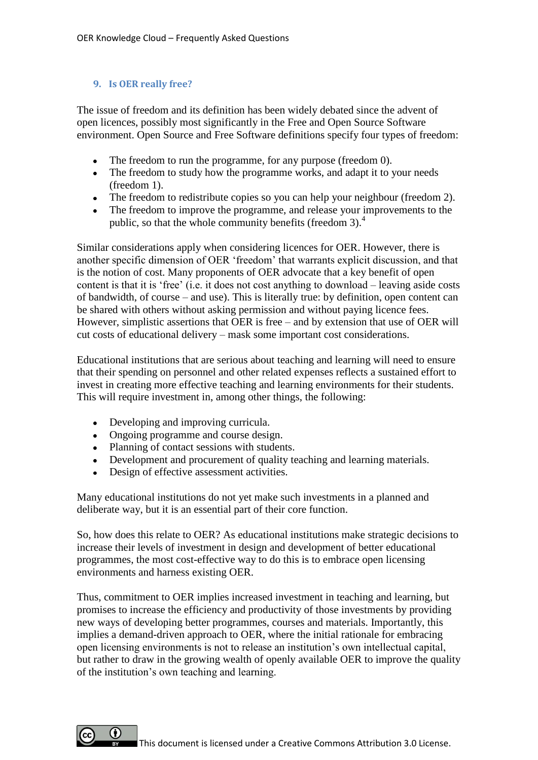#### **9. Is OER really free?**

The issue of freedom and its definition has been widely debated since the advent of open licences, possibly most significantly in the Free and Open Source Software environment. Open Source and Free Software definitions specify four types of freedom:

- The freedom to run the programme, for any purpose (freedom 0).
- The freedom to study how the programme works, and adapt it to your needs (freedom 1).
- The freedom to redistribute copies so you can help your neighbour (freedom 2).
- The freedom to improve the programme, and release your improvements to the public, so that the whole community benefits (freedom 3).<sup>4</sup>

Similar considerations apply when considering licences for OER. However, there is another specific dimension of OER 'freedom' that warrants explicit discussion, and that is the notion of cost. Many proponents of OER advocate that a key benefit of open content is that it is 'free' (i.e. it does not cost anything to download – leaving aside costs of bandwidth, of course – and use). This is literally true: by definition, open content can be shared with others without asking permission and without paying licence fees. However, simplistic assertions that OER is free – and by extension that use of OER will cut costs of educational delivery – mask some important cost considerations.

Educational institutions that are serious about teaching and learning will need to ensure that their spending on personnel and other related expenses reflects a sustained effort to invest in creating more effective teaching and learning environments for their students. This will require investment in, among other things, the following:

- Developing and improving curricula.
- Ongoing programme and course design.
- Planning of contact sessions with students.
- Development and procurement of quality teaching and learning materials.
- Design of effective assessment activities.

Many educational institutions do not yet make such investments in a planned and deliberate way, but it is an essential part of their core function.

So, how does this relate to OER? As educational institutions make strategic decisions to increase their levels of investment in design and development of better educational programmes, the most cost-effective way to do this is to embrace open licensing environments and harness existing OER.

Thus, commitment to OER implies increased investment in teaching and learning, but promises to increase the efficiency and productivity of those investments by providing new ways of developing better programmes, courses and materials. Importantly, this implies a demand-driven approach to OER, where the initial rationale for embracing open licensing environments is not to release an institution's own intellectual capital, but rather to draw in the growing wealth of openly available OER to improve the quality of the institution's own teaching and learning.